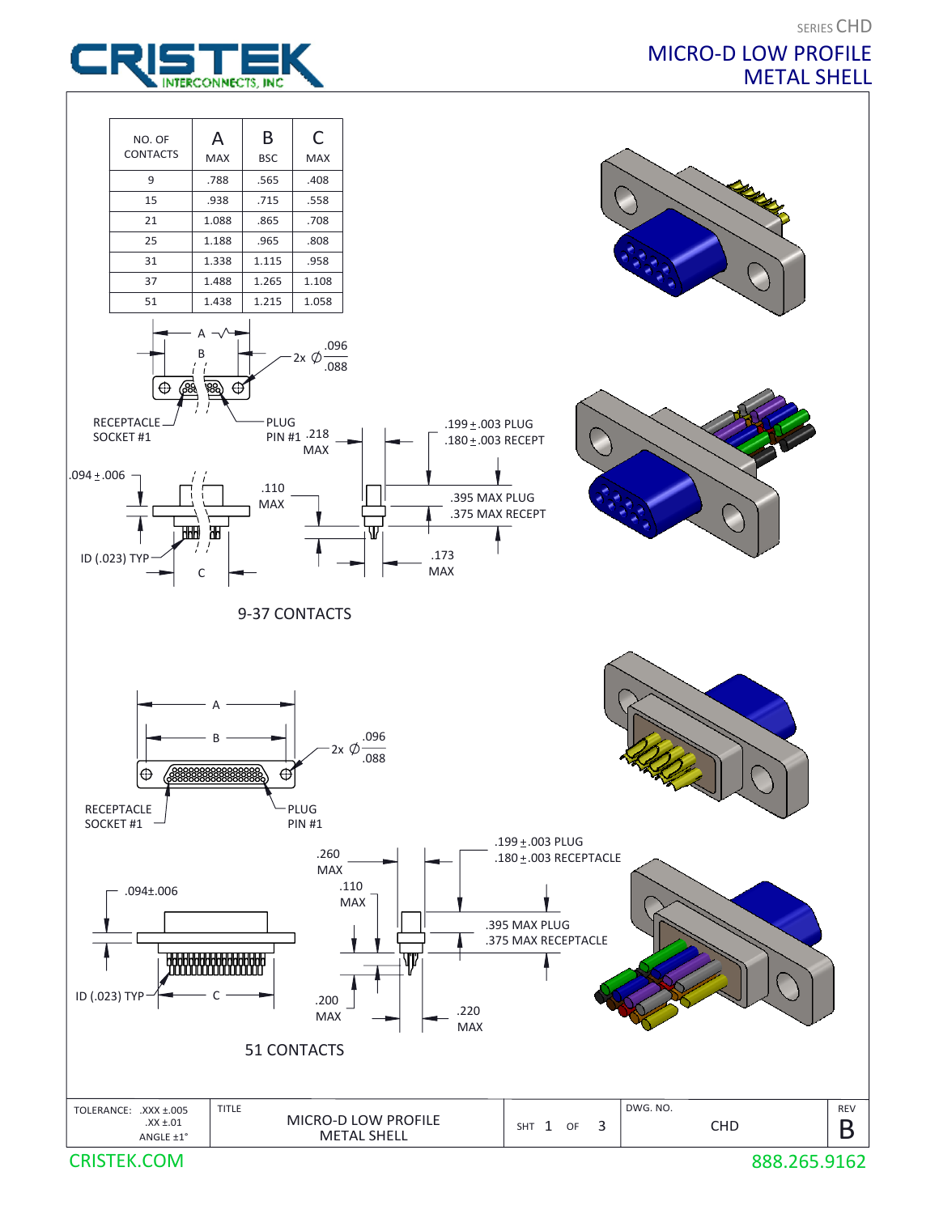

## MICRO-D LOW PROFILE METAL SHELL



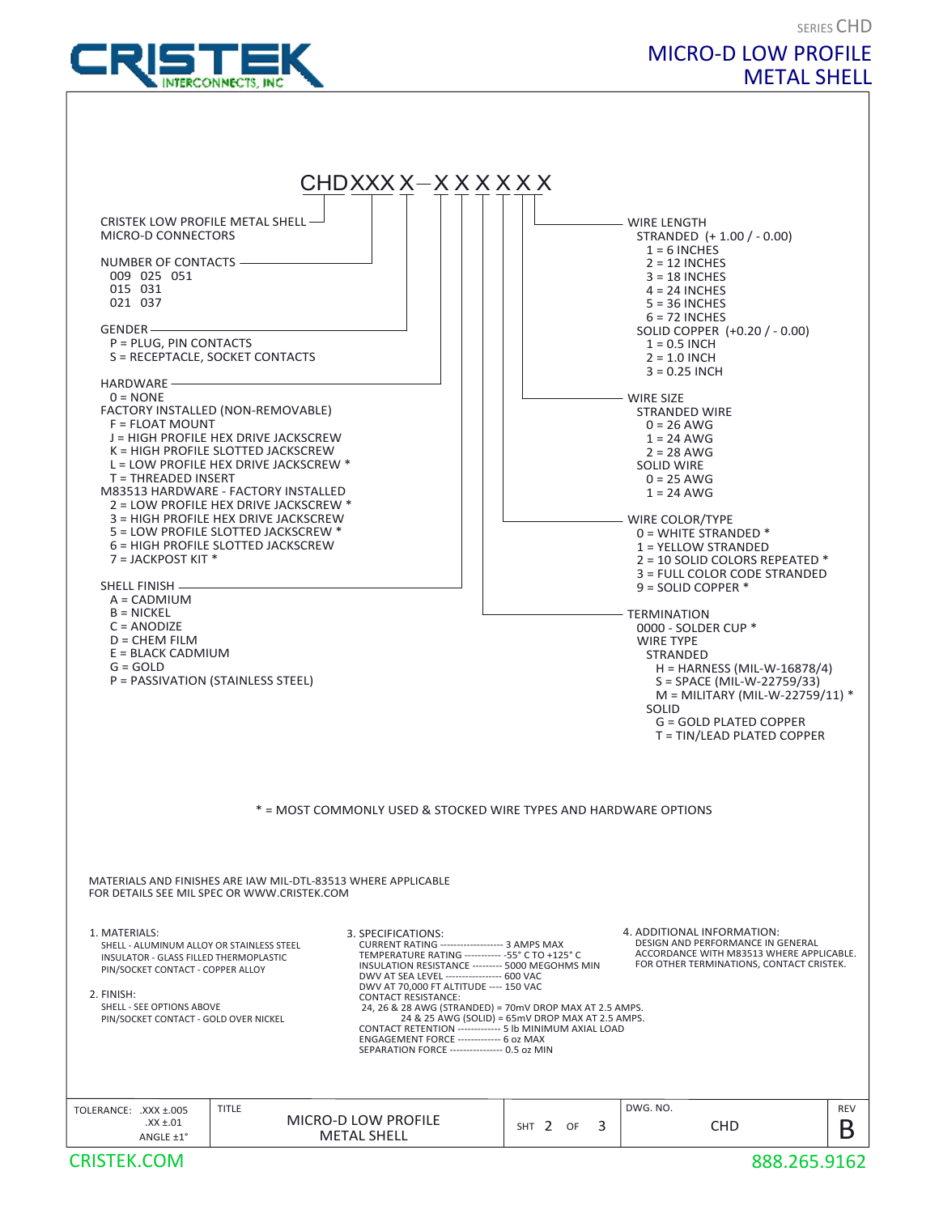

## SERIES CHD MICRO-D LOW PROFILE METAL SHELL